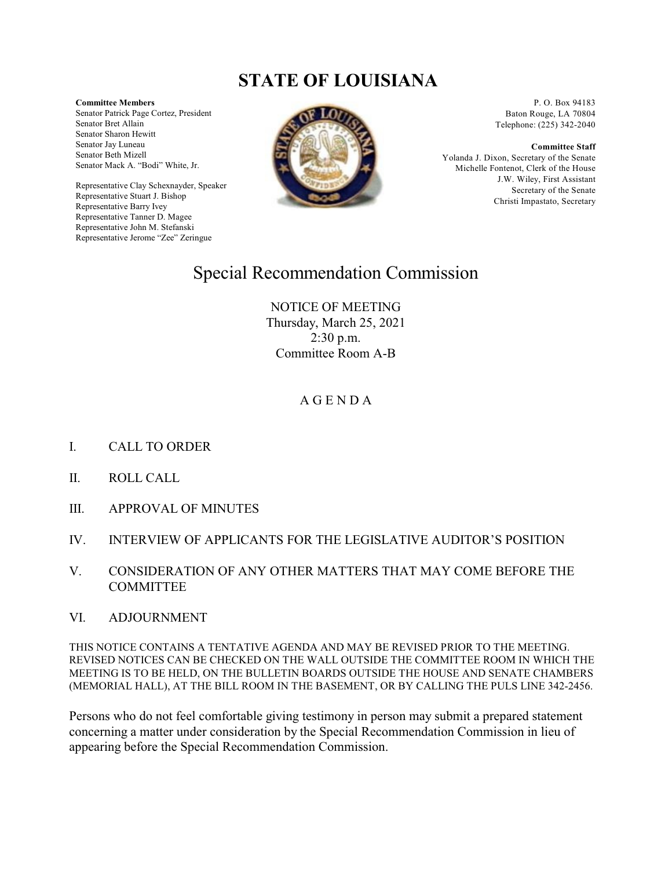## **STATE OF LOUISIANA**

**Committee Members**

Senator Patrick Page Cortez, President Senator Bret Allain Senator Sharon Hewitt Senator Jay Luneau Senator Beth Mizell Senator Mack A. "Bodi" White, Jr.

Representative Clay Schexnayder, Speaker Representative Stuart J. Bishop Representative Barry Ivey Representative Tanner D. Magee Representative John M. Stefanski Representative Jerome "Zee" Zeringue



P. O. Box 94183 Baton Rouge, LA 70804 Telephone: (225) 342-2040

**Committee Staff**

Yolanda J. Dixon, Secretary of the Senate Michelle Fontenot, Clerk of the House J.W. Wiley, First Assistant Secretary of the Senate Christi Impastato, Secretary

## Special Recommendation Commission

NOTICE OF MEETING Thursday, March 25, 2021 2:30 p.m. Committee Room A-B

## A G E N D A

- I. CALL TO ORDER
- II. ROLL CALL
- III. APPROVAL OF MINUTES
- IV. INTERVIEW OF APPLICANTS FOR THE LEGISLATIVE AUDITOR'S POSITION
- V. CONSIDERATION OF ANY OTHER MATTERS THAT MAY COME BEFORE THE **COMMITTEE**
- VI. ADJOURNMENT

THIS NOTICE CONTAINS A TENTATIVE AGENDA AND MAY BE REVISED PRIOR TO THE MEETING. REVISED NOTICES CAN BE CHECKED ON THE WALL OUTSIDE THE COMMITTEE ROOM IN WHICH THE MEETING IS TO BE HELD, ON THE BULLETIN BOARDS OUTSIDE THE HOUSE AND SENATE CHAMBERS (MEMORIAL HALL), AT THE BILL ROOM IN THE BASEMENT, OR BY CALLING THE PULS LINE 342-2456.

Persons who do not feel comfortable giving testimony in person may submit a prepared statement concerning a matter under consideration by the Special Recommendation Commission in lieu of appearing before the Special Recommendation Commission.